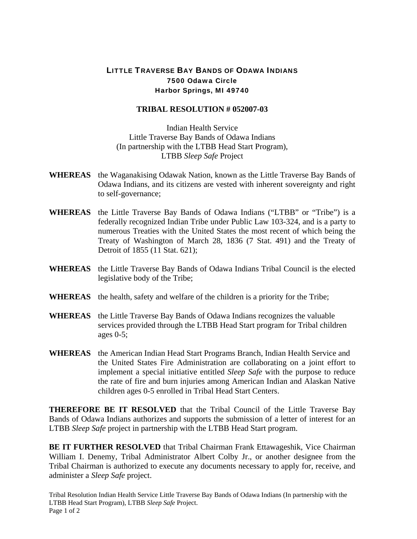## LITTLE TRAVERSE BAY BANDS OF ODAWA INDIANS 7500 Odawa Circle Harbor Springs, MI 49740

## **TRIBAL RESOLUTION # 052007-03**

Indian Health Service Little Traverse Bay Bands of Odawa Indians (In partnership with the LTBB Head Start Program), LTBB *Sleep Safe* Project

- **WHEREAS** the Waganakising Odawak Nation, known as the Little Traverse Bay Bands of Odawa Indians, and its citizens are vested with inherent sovereignty and right to self-governance;
- **WHEREAS** the Little Traverse Bay Bands of Odawa Indians ("LTBB" or "Tribe") is a federally recognized Indian Tribe under Public Law 103-324, and is a party to numerous Treaties with the United States the most recent of which being the Treaty of Washington of March 28, 1836 (7 Stat. 491) and the Treaty of Detroit of 1855 (11 Stat. 621);
- **WHEREAS** the Little Traverse Bay Bands of Odawa Indians Tribal Council is the elected legislative body of the Tribe;
- **WHEREAS** the health, safety and welfare of the children is a priority for the Tribe;
- **WHEREAS** the Little Traverse Bay Bands of Odawa Indians recognizes the valuable services provided through the LTBB Head Start program for Tribal children ages 0-5;
- **WHEREAS** the American Indian Head Start Programs Branch, Indian Health Service and the United States Fire Administration are collaborating on a joint effort to implement a special initiative entitled *Sleep Safe* with the purpose to reduce the rate of fire and burn injuries among American Indian and Alaskan Native children ages 0-5 enrolled in Tribal Head Start Centers.

**THEREFORE BE IT RESOLVED** that the Tribal Council of the Little Traverse Bay Bands of Odawa Indians authorizes and supports the submission of a letter of interest for an LTBB *Sleep Safe* project in partnership with the LTBB Head Start program.

**BE IT FURTHER RESOLVED** that Tribal Chairman Frank Ettawageshik, Vice Chairman William I. Denemy, Tribal Administrator Albert Colby Jr., or another designee from the Tribal Chairman is authorized to execute any documents necessary to apply for, receive, and administer a *Sleep Safe* project.